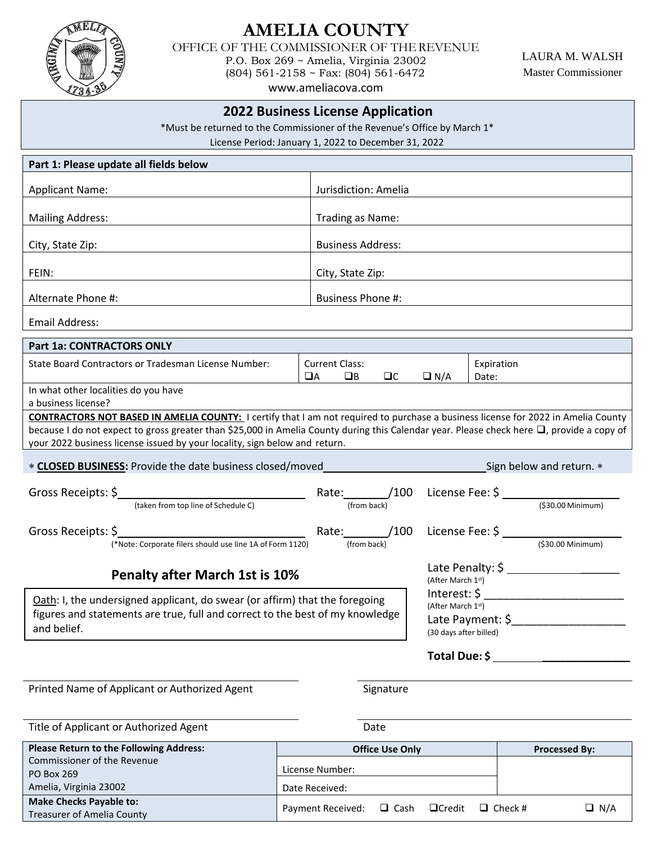

**Make Checks Payable to:**

# **AMELIA COUNTY**

OFFICE OF THE COMMISSIONER OF THEREVENUE P.O. Box 269 ~ Amelia, Virginia 23002 (804) 561-2158 ~ Fax: (804) 561-6472

LAURA M. WALSH Master Commissioner

[www.ameliacova.com](http://www.ameliacova.com/)

## **2022 Business License Application**

\*Must be returned to the Commissioner of the Revenue's Office by March 1\*

License Period: January 1, 2022 to December 31, 2022

| Part 1: Please update all fields below                                                                                                                                                                                                                                                                                                                              |                |                                           |           |                                                                                                        |                     |                      |
|---------------------------------------------------------------------------------------------------------------------------------------------------------------------------------------------------------------------------------------------------------------------------------------------------------------------------------------------------------------------|----------------|-------------------------------------------|-----------|--------------------------------------------------------------------------------------------------------|---------------------|----------------------|
| <b>Applicant Name:</b>                                                                                                                                                                                                                                                                                                                                              |                | Jurisdiction: Amelia                      |           |                                                                                                        |                     |                      |
| <b>Mailing Address:</b>                                                                                                                                                                                                                                                                                                                                             |                | Trading as Name:                          |           |                                                                                                        |                     |                      |
| City, State Zip:                                                                                                                                                                                                                                                                                                                                                    |                | <b>Business Address:</b>                  |           |                                                                                                        |                     |                      |
| FEIN:                                                                                                                                                                                                                                                                                                                                                               |                | City, State Zip:                          |           |                                                                                                        |                     |                      |
| Alternate Phone #:                                                                                                                                                                                                                                                                                                                                                  |                | <b>Business Phone #:</b>                  |           |                                                                                                        |                     |                      |
| <b>Email Address:</b>                                                                                                                                                                                                                                                                                                                                               |                |                                           |           |                                                                                                        |                     |                      |
| Part 1a: CONTRACTORS ONLY                                                                                                                                                                                                                                                                                                                                           |                |                                           |           |                                                                                                        |                     |                      |
| State Board Contractors or Tradesman License Number:                                                                                                                                                                                                                                                                                                                | $\Box$ A       | <b>Current Class:</b><br>$\Box$ B         | $\Box$ C  | $\Box N/A$                                                                                             | Expiration<br>Date: |                      |
| In what other localities do you have<br>a business license?                                                                                                                                                                                                                                                                                                         |                |                                           |           |                                                                                                        |                     |                      |
| <b>CONTRACTORS NOT BASED IN AMELIA COUNTY:</b> I certify that I am not required to purchase a business license for 2022 in Amelia County<br>because I do not expect to gross greater than \$25,000 in Amelia County during this Calendar year. Please check here □, provide a copy of<br>your 2022 business license issued by your locality, sign below and return. |                |                                           |           |                                                                                                        |                     |                      |
| * CLOSED BUSINESS: Provide the date business closed/moved<br>Sign below and return. *                                                                                                                                                                                                                                                                               |                |                                           |           |                                                                                                        |                     |                      |
| (taken from top line of Schedule C)                                                                                                                                                                                                                                                                                                                                 |                | Rate: /100 License Fee: \$<br>(from back) |           |                                                                                                        |                     | (\$30.00 Minimum)    |
| Gross Receipts: \$<br>(*Note: Corporate filers should use line 1A of Form 1120)                                                                                                                                                                                                                                                                                     |                | Rate: /100<br>(from back)                 |           |                                                                                                        |                     | $(530.00$ Minimum)   |
| <b>Penalty after March 1st is 10%</b><br>(After March 1st)                                                                                                                                                                                                                                                                                                          |                |                                           |           |                                                                                                        |                     |                      |
| Oath: I, the undersigned applicant, do swear (or affirm) that the foregoing<br>figures and statements are true, full and correct to the best of my knowledge<br>and belief.                                                                                                                                                                                         |                |                                           |           | Interest: \$<br>(After March 1st)<br>Late Payment: \$_______________________<br>(30 days after billed) |                     |                      |
|                                                                                                                                                                                                                                                                                                                                                                     |                |                                           |           | Total Due: \$                                                                                          |                     |                      |
| Printed Name of Applicant or Authorized Agent                                                                                                                                                                                                                                                                                                                       |                |                                           | Signature |                                                                                                        |                     |                      |
| Title of Applicant or Authorized Agent                                                                                                                                                                                                                                                                                                                              |                |                                           | Date      |                                                                                                        |                     |                      |
| Please Return to the Following Address:                                                                                                                                                                                                                                                                                                                             |                | <b>Office Use Only</b>                    |           |                                                                                                        |                     | <b>Processed By:</b> |
| Commissioner of the Revenue<br>PO Box 269                                                                                                                                                                                                                                                                                                                           |                | License Number:                           |           |                                                                                                        |                     |                      |
| Amelia, Virginia 23002                                                                                                                                                                                                                                                                                                                                              | Date Received: |                                           |           |                                                                                                        |                     |                      |